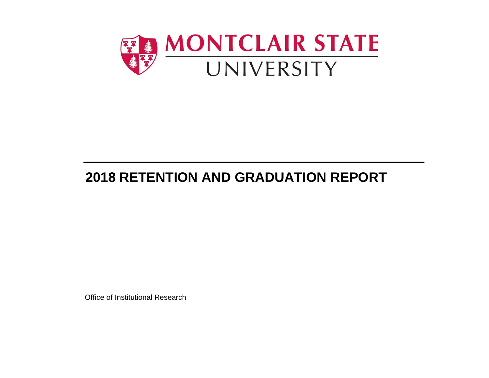

# **2018 RETENTION AND GRADUATION REPORT**

Office of Institutional Research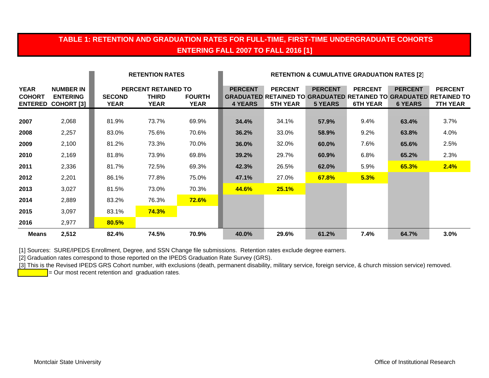# **TABLE 1: RETENTION AND GRADUATION RATES FOR FULL-TIME, FIRST-TIME UNDERGRADUATE COHORTS ENTERING FALL 2007 TO FALL 2016 [1]**

|                                                |                                                          |                       | <b>RETENTION RATES</b>                                    |                       | <b>RETENTION &amp; CUMULATIVE GRADUATION RATES [2]</b> |                                   |                                  |                                   |                                  |                                                                                                               |
|------------------------------------------------|----------------------------------------------------------|-----------------------|-----------------------------------------------------------|-----------------------|--------------------------------------------------------|-----------------------------------|----------------------------------|-----------------------------------|----------------------------------|---------------------------------------------------------------------------------------------------------------|
| <b>YEAR</b><br><b>COHORT</b><br><b>ENTERED</b> | <b>NUMBER IN</b><br><b>ENTERING</b><br><b>COHORT [3]</b> | <b>SECOND</b><br>YEAR | <b>PERCENT RETAINED TO</b><br><b>THIRD</b><br><b>YEAR</b> | <b>FOURTH</b><br>YEAR | <b>PERCENT</b><br><b>4 YEARS</b>                       | <b>PERCENT</b><br><b>5TH YEAR</b> | <b>PERCENT</b><br><b>5 YEARS</b> | <b>PERCENT</b><br><b>6TH YEAR</b> | <b>PERCENT</b><br><b>6 YEARS</b> | <b>PERCENT</b><br><b>GRADUATED RETAINED TO GRADUATED RETAINED TO GRADUATED RETAINED TO</b><br><b>7TH YEAR</b> |
| 2007                                           | 2,068                                                    | 81.9%                 | 73.7%                                                     | 69.9%                 | 34.4%                                                  | 34.1%                             | 57.9%                            | 9.4%                              | 63.4%                            | 3.7%                                                                                                          |
| 2008                                           | 2,257                                                    | 83.0%                 | 75.6%                                                     | 70.6%                 | 36.2%                                                  | 33.0%                             | 58.9%                            | 9.2%                              | 63.8%                            | 4.0%                                                                                                          |
| 2009                                           | 2,100                                                    | 81.2%                 | 73.3%                                                     | 70.0%                 | 36.0%                                                  | 32.0%                             | 60.0%                            | 7.6%                              | 65.6%                            | 2.5%                                                                                                          |
| 2010                                           | 2,169                                                    | 81.8%                 | 73.9%                                                     | 69.8%                 | 39.2%                                                  | 29.7%                             | 60.9%                            | 6.8%                              | 65.2%                            | 2.3%                                                                                                          |
| 2011                                           | 2,336                                                    | 81.7%                 | 72.5%                                                     | 69.3%                 | 42.3%                                                  | 26.5%                             | 62.0%                            | 5.9%                              | 65.3%                            | 2.4%                                                                                                          |
| 2012                                           | 2,201                                                    | 86.1%                 | 77.8%                                                     | 75.0%                 | 47.1%                                                  | 27.0%                             | 67.8%                            | 5.3%                              |                                  |                                                                                                               |
| 2013                                           | 3,027                                                    | 81.5%                 | 73.0%                                                     | 70.3%                 | 44.6%                                                  | 25.1%                             |                                  |                                   |                                  |                                                                                                               |
| 2014                                           | 2,889                                                    | 83.2%                 | 76.3%                                                     | $72.6\%$              |                                                        |                                   |                                  |                                   |                                  |                                                                                                               |
| 2015                                           | 3,097                                                    | 83.1%                 | 74.3%                                                     |                       |                                                        |                                   |                                  |                                   |                                  |                                                                                                               |
| 2016                                           | 2,977                                                    | 80.5%                 |                                                           |                       |                                                        |                                   |                                  |                                   |                                  |                                                                                                               |
| <b>Means</b>                                   | 2,512                                                    | 82.4%                 | 74.5%                                                     | 70.9%                 | 40.0%                                                  | 29.6%                             | 61.2%                            | 7.4%                              | 64.7%                            | 3.0%                                                                                                          |

[1] Sources: SURE/IPEDS Enrollment, Degree, and SSN Change file submissions. Retention rates exclude degree earners.

[2] Graduation rates correspond to those reported on the IPEDS Graduation Rate Survey (GRS).

[3] This is the Revised IPEDS GRS Cohort number, with exclusions (death, permanent disability, military service, foreign service, & church mission service) removed.

 $=$  Our most recent retention and graduation rates.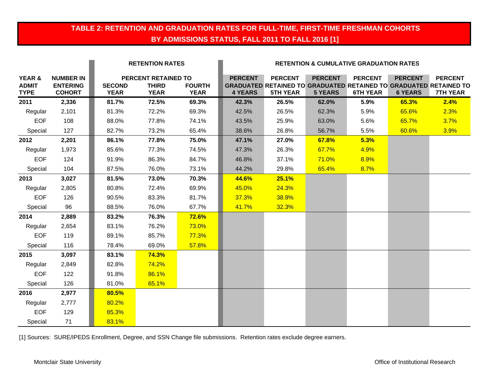# **TABLE 2: RETENTION AND GRADUATION RATES FOR FULL-TIME, FIRST-TIME FRESHMAN COHORTS BY ADMISSIONS STATUS, FALL 2011 TO FALL 2016 [1]**

|                                       |                                                      |                              | <b>RETENTION RATES</b>                             |                              | <b>RETENTION &amp; CUMULATIVE GRADUATION RATES</b> |                                   |                                  |                                   |                                  |                                                                                                               |
|---------------------------------------|------------------------------------------------------|------------------------------|----------------------------------------------------|------------------------------|----------------------------------------------------|-----------------------------------|----------------------------------|-----------------------------------|----------------------------------|---------------------------------------------------------------------------------------------------------------|
| YEAR &<br><b>ADMIT</b><br><b>TYPE</b> | <b>NUMBER IN</b><br><b>ENTERING</b><br><b>COHORT</b> | <b>SECOND</b><br><b>YEAR</b> | PERCENT RETAINED TO<br><b>THIRD</b><br><b>YEAR</b> | <b>FOURTH</b><br><b>YEAR</b> | <b>PERCENT</b><br><b>4 YEARS</b>                   | <b>PERCENT</b><br><b>5TH YEAR</b> | <b>PERCENT</b><br><b>5 YEARS</b> | <b>PERCENT</b><br><b>6TH YEAR</b> | <b>PERCENT</b><br><b>6 YEARS</b> | <b>PERCENT</b><br><b>GRADUATED RETAINED TO GRADUATED RETAINED TO GRADUATED RETAINED TO</b><br><b>7TH YEAR</b> |
| 2011                                  | 2,336                                                | 81.7%                        | 72.5%                                              | 69.3%                        | 42.3%                                              | 26.5%                             | 62.0%                            | 5.9%                              | 65.3%                            | 2.4%                                                                                                          |
| Regular                               | 2,101                                                | 81.3%                        | 72.2%                                              | 69.3%                        | 42.5%                                              | 26.5%                             | 62.3%                            | 5.9%                              | 65.6%                            | 2.3%                                                                                                          |
| <b>EOF</b>                            | 108                                                  | 88.0%                        | 77.8%                                              | 74.1%                        | 43.5%                                              | 25.9%                             | 63.0%                            | 5.6%                              | 65.7%                            | 3.7%                                                                                                          |
| Special                               | 127                                                  | 82.7%                        | 73.2%                                              | 65.4%                        | 38.6%                                              | 26.8%                             | 56.7%                            | 5.5%                              | 60.6%                            | 3.9%                                                                                                          |
| 2012                                  | 2,201                                                | 86.1%                        | 77.8%                                              | 75.0%                        | 47.1%                                              | 27.0%                             | 67.8%                            | 5.3%                              |                                  |                                                                                                               |
| Regular                               | 1,973                                                | 85.6%                        | 77.3%                                              | 74.5%                        | 47.3%                                              | 26.3%                             | 67.7%                            | 4.9%                              |                                  |                                                                                                               |
| <b>EOF</b>                            | 124                                                  | 91.9%                        | 86.3%                                              | 84.7%                        | 46.8%                                              | 37.1%                             | <b>71.0%</b>                     | 8.9%                              |                                  |                                                                                                               |
| Special                               | 104                                                  | 87.5%                        | 76.0%                                              | 73.1%                        | 44.2%                                              | 29.8%                             | 65.4%                            | 8.7%                              |                                  |                                                                                                               |
| 2013                                  | 3,027                                                | 81.5%                        | 73.0%                                              | 70.3%                        | 44.6%                                              | 25.1%                             |                                  |                                   |                                  |                                                                                                               |
| Regular                               | 2,805                                                | 80.8%                        | 72.4%                                              | 69.9%                        | 45.0%                                              | 24.3%                             |                                  |                                   |                                  |                                                                                                               |
| <b>EOF</b>                            | 126                                                  | 90.5%                        | 83.3%                                              | 81.7%                        | 37.3%                                              | 38.9%                             |                                  |                                   |                                  |                                                                                                               |
| Special                               | 96                                                   | 88.5%                        | 76.0%                                              | 67.7%                        | 41.7%                                              | 32.3%                             |                                  |                                   |                                  |                                                                                                               |
| 2014                                  | 2,889                                                | 83.2%                        | 76.3%                                              | 72.6%                        |                                                    |                                   |                                  |                                   |                                  |                                                                                                               |
| Regular                               | 2,654                                                | 83.1%                        | 76.2%                                              | 73.0%                        |                                                    |                                   |                                  |                                   |                                  |                                                                                                               |
| <b>EOF</b>                            | 119                                                  | 89.1%                        | 85.7%                                              | 77.3%                        |                                                    |                                   |                                  |                                   |                                  |                                                                                                               |
| Special                               | 116                                                  | 78.4%                        | 69.0%                                              | 57.8%                        |                                                    |                                   |                                  |                                   |                                  |                                                                                                               |
| 2015                                  | 3,097                                                | 83.1%                        | 74.3%                                              |                              |                                                    |                                   |                                  |                                   |                                  |                                                                                                               |
| Regular                               | 2,849                                                | 82.8%                        | 74.2%                                              |                              |                                                    |                                   |                                  |                                   |                                  |                                                                                                               |
| <b>EOF</b>                            | 122                                                  | 91.8%                        | 86.1%                                              |                              |                                                    |                                   |                                  |                                   |                                  |                                                                                                               |
| Special                               | 126                                                  | 81.0%                        | 65.1%                                              |                              |                                                    |                                   |                                  |                                   |                                  |                                                                                                               |
| 2016                                  | 2,977                                                | 80.5%                        |                                                    |                              |                                                    |                                   |                                  |                                   |                                  |                                                                                                               |
| Regular                               | 2,777                                                | 80.2%                        |                                                    |                              |                                                    |                                   |                                  |                                   |                                  |                                                                                                               |
| <b>EOF</b>                            | 129                                                  | 85.3%                        |                                                    |                              |                                                    |                                   |                                  |                                   |                                  |                                                                                                               |
| Special                               | 71                                                   | 83.1%                        |                                                    |                              |                                                    |                                   |                                  |                                   |                                  |                                                                                                               |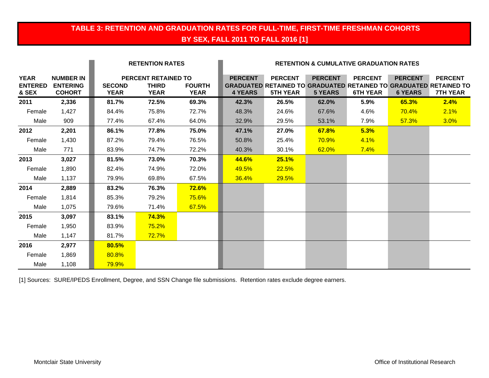# **TABLE 3: RETENTION AND GRADUATION RATES FOR FULL-TIME, FIRST-TIME FRESHMAN COHORTS BY SEX, FALL 2011 TO FALL 2016 [1]**

|                                        |                                                      |                              | <b>RETENTION RATES</b>                             |                              | <b>RETENTION &amp; CUMULATIVE GRADUATION RATES</b> |                                   |                                  |                                   |                                  |                                                                                                               |
|----------------------------------------|------------------------------------------------------|------------------------------|----------------------------------------------------|------------------------------|----------------------------------------------------|-----------------------------------|----------------------------------|-----------------------------------|----------------------------------|---------------------------------------------------------------------------------------------------------------|
| <b>YEAR</b><br><b>ENTERED</b><br>& SEX | <b>NUMBER IN</b><br><b>ENTERING</b><br><b>COHORT</b> | <b>SECOND</b><br><b>YEAR</b> | PERCENT RETAINED TO<br><b>THIRD</b><br><b>YEAR</b> | <b>FOURTH</b><br><b>YEAR</b> | <b>PERCENT</b><br><b>4 YEARS</b>                   | <b>PERCENT</b><br><b>5TH YEAR</b> | <b>PERCENT</b><br><b>5 YEARS</b> | <b>PERCENT</b><br><b>6TH YEAR</b> | <b>PERCENT</b><br><b>6 YEARS</b> | <b>PERCENT</b><br><b>GRADUATED RETAINED TO GRADUATED RETAINED TO GRADUATED RETAINED TO</b><br><b>7TH YEAR</b> |
| 2011                                   | 2,336                                                | 81.7%                        | 72.5%                                              | 69.3%                        | 42.3%                                              | 26.5%                             | 62.0%                            | 5.9%                              | 65.3%                            | 2.4%                                                                                                          |
| Female                                 | 1,427                                                | 84.4%                        | 75.8%                                              | 72.7%                        | 48.3%                                              | 24.6%                             | 67.6%                            | 4.6%                              | 70.4%                            | 2.1%                                                                                                          |
| Male                                   | 909                                                  | 77.4%                        | 67.4%                                              | 64.0%                        | 32.9%                                              | 29.5%                             | 53.1%                            | 7.9%                              | 57.3%                            | 3.0%                                                                                                          |
| 2012                                   | 2,201                                                | 86.1%                        | 77.8%                                              | 75.0%                        | 47.1%                                              | 27.0%                             | 67.8%                            | 5.3%                              |                                  |                                                                                                               |
| Female                                 | 1,430                                                | 87.2%                        | 79.4%                                              | 76.5%                        | 50.8%                                              | 25.4%                             | <b>70.9%</b>                     | 4.1%                              |                                  |                                                                                                               |
| Male                                   | 771                                                  | 83.9%                        | 74.7%                                              | 72.2%                        | 40.3%                                              | 30.1%                             | 62.0%                            | 7.4%                              |                                  |                                                                                                               |
| 2013                                   | 3,027                                                | 81.5%                        | 73.0%                                              | 70.3%                        | 44.6%                                              | 25.1%                             |                                  |                                   |                                  |                                                                                                               |
| Female                                 | 1,890                                                | 82.4%                        | 74.9%                                              | 72.0%                        | 49.5%                                              | 22.5%                             |                                  |                                   |                                  |                                                                                                               |
| Male                                   | 1,137                                                | 79.9%                        | 69.8%                                              | 67.5%                        | 36.4%                                              | 29.5%                             |                                  |                                   |                                  |                                                                                                               |
| 2014                                   | 2,889                                                | 83.2%                        | 76.3%                                              | 72.6%                        |                                                    |                                   |                                  |                                   |                                  |                                                                                                               |
| Female                                 | 1,814                                                | 85.3%                        | 79.2%                                              | 75.6%                        |                                                    |                                   |                                  |                                   |                                  |                                                                                                               |
| Male                                   | 1,075                                                | 79.6%                        | 71.4%                                              | 67.5%                        |                                                    |                                   |                                  |                                   |                                  |                                                                                                               |
| 2015                                   | 3,097                                                | 83.1%                        | 74.3%                                              |                              |                                                    |                                   |                                  |                                   |                                  |                                                                                                               |
| Female                                 | 1,950                                                | 83.9%                        | 75.2%                                              |                              |                                                    |                                   |                                  |                                   |                                  |                                                                                                               |
| Male                                   | 1,147                                                | 81.7%                        | 72.7%                                              |                              |                                                    |                                   |                                  |                                   |                                  |                                                                                                               |
| 2016                                   | 2,977                                                | 80.5%                        |                                                    |                              |                                                    |                                   |                                  |                                   |                                  |                                                                                                               |
| Female                                 | 1,869                                                | 80.8%                        |                                                    |                              |                                                    |                                   |                                  |                                   |                                  |                                                                                                               |
| Male                                   | 1,108                                                | 79.9%                        |                                                    |                              |                                                    |                                   |                                  |                                   |                                  |                                                                                                               |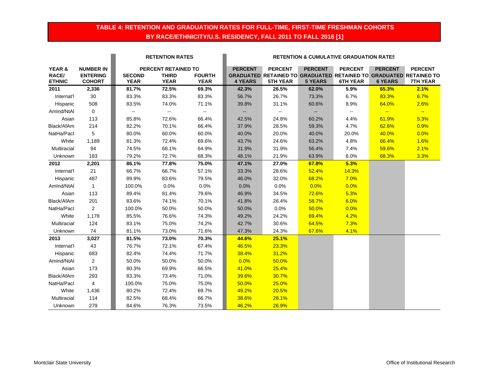## **TABLE 4: RETENTION AND GRADUATION RATES FOR FULL-TIME, FIRST-TIME FRESHMAN COHORTS BY RACE/ETHNICITY/U.S. RESIDENCY, FALL 2011 TO FALL 2016 [1]**

|                 |                                     |               | <b>RETENTION RATES</b>              |               |                | <b>RETENTION &amp; CUMULATIVE GRADUATION RATES</b> |                |                 |                |                                                                                            |  |
|-----------------|-------------------------------------|---------------|-------------------------------------|---------------|----------------|----------------------------------------------------|----------------|-----------------|----------------|--------------------------------------------------------------------------------------------|--|
| YEAR &<br>RACE/ | <b>NUMBER IN</b><br><b>ENTERING</b> | <b>SECOND</b> | PERCENT RETAINED TO<br><b>THIRD</b> | <b>FOURTH</b> | <b>PERCENT</b> | <b>PERCENT</b>                                     | <b>PERCENT</b> | <b>PERCENT</b>  | <b>PERCENT</b> | <b>PERCENT</b><br><b>GRADUATED RETAINED TO GRADUATED RETAINED TO GRADUATED RETAINED TO</b> |  |
| <b>ETHNIC</b>   | <b>COHORT</b>                       | <b>YEAR</b>   | <b>YEAR</b>                         | <b>YEAR</b>   | <b>4 YEARS</b> | <b>5TH YEAR</b>                                    | <b>5 YEARS</b> | <b>6TH YEAR</b> | <b>6 YEARS</b> | <b>7TH YEAR</b>                                                                            |  |
| 2011            | 2,336                               | 81.7%         | 72.5%                               | 69.3%         | 42.3%          | 26.5%                                              | 62.0%          | 5.9%            | 65.3%          | 2.1%                                                                                       |  |
| Internat'l      | 30                                  | 83.3%         | 83.3%                               | 83.3%         | 56.7%          | 26.7%                                              | 73.3%          | 6.7%            | 83.3%          | 6.7%                                                                                       |  |
| Hispanic        | 508                                 | 83.5%         | 74.0%                               | 71.1%         | 39.8%          | 31.1%                                              | 60.6%          | 8.9%            | 64.0%          | 2.6%                                                                                       |  |
| AmInd/NtAI      | $\mathbf 0$                         | $\sim$        | Ξ.                                  | $\mathbf{u}$  | $\sim$ $\sim$  | $\sim$ $-$                                         | $\sim$         | $\alpha = 1$    | $\frac{1}{2}$  | $\sim$                                                                                     |  |
| Asian           | 113                                 | 85.8%         | 72.6%                               | 66.4%         | 42.5%          | 24.8%                                              | 60.2%          | 4.4%            | 61.9%          | 5.3%                                                                                       |  |
| Black/AfAm      | 214                                 | 82.2%         | 70.1%                               | 66.4%         | 37.9%          | 28.5%                                              | 59.3%          | 4.7%            | 62.6%          | 0.9%                                                                                       |  |
| NatHa/Pacl      | 5                                   | 80.0%         | 60.0%                               | 60.0%         | 40.0%          | 20.0%                                              | 40.0%          | 20.0%           | 40.0%          | 0.0%                                                                                       |  |
| White           | 1,189                               | 81.3%         | 72.4%                               | 69.6%         | 43.7%          | 24.6%                                              | 63.2%          | 4.8%            | 66.4%          | 1.6%                                                                                       |  |
| Multiracial     | 94                                  | 74.5%         | 68.1%                               | 64.9%         | 31.9%          | 31.9%                                              | 56.4%          | 7.4%            | 59.6%          | 2.1%                                                                                       |  |
| Unknown         | 183                                 | 79.2%         | 72.7%                               | 68.3%         | 48.1%          | 21.9%                                              | 63.9%          | 6.0%            | 68.3%          | 3.3%                                                                                       |  |
| 2012            | 2,201                               | 86.1%         | 77.8%                               | 75.0%         | 47.1%          | 27.0%                                              | 67.8%          | 5.3%            |                |                                                                                            |  |
| Internat'l      | 21                                  | 66.7%         | 66.7%                               | 57.1%         | 33.3%          | 28.6%                                              | 52.4%          | 14.3%           |                |                                                                                            |  |
| Hispanic        | 487                                 | 89.9%         | 83.6%                               | 79.5%         | 46.0%          | 32.0%                                              | 68.2%          | 7.0%            |                |                                                                                            |  |
| Amlnd/NtAl      | $\mathbf{1}$                        | 100.0%        | 0.0%                                | 0.0%          | 0.0%           | 0.0%                                               | 0.0%           | 0.0%            |                |                                                                                            |  |
| Asian           | 113                                 | 89.4%         | 81.4%                               | 79.6%         | 46.9%          | 34.5%                                              | 72.6%          | 5.3%            |                |                                                                                            |  |
| Black/AfAm      | 201                                 | 83.6%         | 74.1%                               | 70.1%         | 41.8%          | 26.4%                                              | 58.7%          | 6.0%            |                |                                                                                            |  |
| NatHa/Pacl      | $\overline{2}$                      | 100.0%        | 50.0%                               | 50.0%         | 50.0%          | $0.0\%$                                            | 50.0%          | 0.0%            |                |                                                                                            |  |
| White           | 1,178                               | 85.5%         | 76.6%                               | 74.3%         | 49.2%          | 24.2%                                              | 69.4%          | 4.2%            |                |                                                                                            |  |
| Multiracial     | 124                                 | 83.1%         | 75.0%                               | 74.2%         | 42.7%          | 30.6%                                              | 64.5%          | 7.3%            |                |                                                                                            |  |
| Unknown         | 74                                  | 81.1%         | 73.0%                               | 71.6%         | 47.3%          | 24.3%                                              | 67.6%          | 4.1%            |                |                                                                                            |  |
| 2013            | 3,027                               | 81.5%         | 73.0%                               | 70.3%         | 44.6%          | 25.1%                                              |                |                 |                |                                                                                            |  |
| Internat'l      | 43                                  | 76.7%         | 72.1%                               | 67.4%         | 46.5%          | 23.3%                                              |                |                 |                |                                                                                            |  |
| Hispanic        | 683                                 | 82.4%         | 74.4%                               | 71.7%         | 38.4%          | 31.2%                                              |                |                 |                |                                                                                            |  |
| AmInd/NtAI      | $\overline{2}$                      | 50.0%         | 50.0%                               | 50.0%         | 0.0%           | 50.0%                                              |                |                 |                |                                                                                            |  |
| Asian           | 173                                 | 80.3%         | 69.9%                               | 66.5%         | 41.0%          | 25.4%                                              |                |                 |                |                                                                                            |  |
| Black/AfAm      | 293                                 | 83.3%         | 73.4%                               | 71.0%         | 39.6%          | 30.7%                                              |                |                 |                |                                                                                            |  |
| NatHa/Pacl      | 4                                   | 100.0%        | 75.0%                               | 75.0%         | 50.0%          | 25.0%                                              |                |                 |                |                                                                                            |  |
| White           | 1,436                               | 80.2%         | 72.4%                               | 69.7%         | 49.2%          | 20.5%                                              |                |                 |                |                                                                                            |  |
| Multiracial     | 114                                 | 82.5%         | 68.4%                               | 66.7%         | 38.6%          | 28.1%                                              |                |                 |                |                                                                                            |  |
| Unknown         | 279                                 | 84.6%         | 76.3%                               | 73.5%         | 46.2%          | 26.9%                                              |                |                 |                |                                                                                            |  |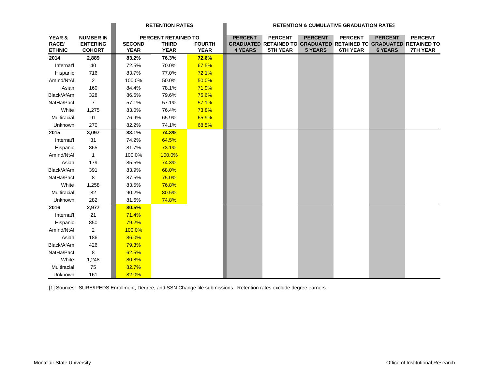|                   |                  |               | <b>RETENTION RATES</b> |               |                | <b>RETENTION &amp; CUMULATIVE GRADUATION RATES</b>                |                |                 |                |                 |  |
|-------------------|------------------|---------------|------------------------|---------------|----------------|-------------------------------------------------------------------|----------------|-----------------|----------------|-----------------|--|
| <b>YEAR &amp;</b> | <b>NUMBER IN</b> |               | PERCENT RETAINED TO    |               | <b>PERCENT</b> | <b>PERCENT</b>                                                    | <b>PERCENT</b> | <b>PERCENT</b>  | <b>PERCENT</b> | <b>PERCENT</b>  |  |
| <b>RACE/</b>      | <b>ENTERING</b>  | <b>SECOND</b> | <b>THIRD</b>           | <b>FOURTH</b> |                | GRADUATED RETAINED TO GRADUATED RETAINED TO GRADUATED RETAINED TO |                |                 |                |                 |  |
| <b>ETHNIC</b>     | <b>COHORT</b>    | <b>YEAR</b>   | <b>YEAR</b>            | <b>YEAR</b>   | <b>4 YEARS</b> | <b>5TH YEAR</b>                                                   | <b>5 YEARS</b> | <b>6TH YEAR</b> | <b>6 YEARS</b> | <b>7TH YEAR</b> |  |
| 2014              | 2,889            | 83.2%         | 76.3%                  | 72.6%         |                |                                                                   |                |                 |                |                 |  |
| Internat'l        | 40               | 72.5%         | 70.0%                  | 67.5%         |                |                                                                   |                |                 |                |                 |  |
| Hispanic          | 716              | 83.7%         | 77.0%                  | 72.1%         |                |                                                                   |                |                 |                |                 |  |
| AmInd/NtAl        | $\overline{2}$   | 100.0%        | 50.0%                  | 50.0%         |                |                                                                   |                |                 |                |                 |  |
| Asian             | 160              | 84.4%         | 78.1%                  | 71.9%         |                |                                                                   |                |                 |                |                 |  |
| Black/AfAm        | 328              | 86.6%         | 79.6%                  | 75.6%         |                |                                                                   |                |                 |                |                 |  |
| NatHa/Pacl        | $\overline{7}$   | 57.1%         | 57.1%                  | 57.1%         |                |                                                                   |                |                 |                |                 |  |
| White             | 1,275            | 83.0%         | 76.4%                  | 73.8%         |                |                                                                   |                |                 |                |                 |  |
| Multiracial       | 91               | 76.9%         | 65.9%                  | 65.9%         |                |                                                                   |                |                 |                |                 |  |
| Unknown           | 270              | 82.2%         | 74.1%                  | 68.5%         |                |                                                                   |                |                 |                |                 |  |
| 2015              | 3,097            | 83.1%         | 74.3%                  |               |                |                                                                   |                |                 |                |                 |  |
| Internat'l        | 31               | 74.2%         | 64.5%                  |               |                |                                                                   |                |                 |                |                 |  |
| Hispanic          | 865              | 81.7%         | 73.1%                  |               |                |                                                                   |                |                 |                |                 |  |
| Amlnd/NtAl        | $\overline{1}$   | 100.0%        | 100.0%                 |               |                |                                                                   |                |                 |                |                 |  |
| Asian             | 179              | 85.5%         | 74.3%                  |               |                |                                                                   |                |                 |                |                 |  |
| Black/AfAm        | 391              | 83.9%         | 68.0%                  |               |                |                                                                   |                |                 |                |                 |  |
| NatHa/Pacl        | 8                | 87.5%         | 75.0%                  |               |                |                                                                   |                |                 |                |                 |  |
| White             | 1,258            | 83.5%         | 76.8%                  |               |                |                                                                   |                |                 |                |                 |  |
| Multiracial       | 82               | 90.2%         | 80.5%                  |               |                |                                                                   |                |                 |                |                 |  |
| Unknown           | 282              | 81.6%         | 74.8%                  |               |                |                                                                   |                |                 |                |                 |  |
| 2016              | 2,977            | 80.5%         |                        |               |                |                                                                   |                |                 |                |                 |  |
| Internat'l        | 21               | 71.4%         |                        |               |                |                                                                   |                |                 |                |                 |  |
| Hispanic          | 850              | 79.2%         |                        |               |                |                                                                   |                |                 |                |                 |  |
| AmInd/NtAI        | $\overline{2}$   | 100.0%        |                        |               |                |                                                                   |                |                 |                |                 |  |
| Asian             | 186              | 86.0%         |                        |               |                |                                                                   |                |                 |                |                 |  |
| Black/AfAm        | 426              | 79.3%         |                        |               |                |                                                                   |                |                 |                |                 |  |
| NatHa/Pacl        | 8                | 62.5%         |                        |               |                |                                                                   |                |                 |                |                 |  |
| White             | 1,248            | 80.8%         |                        |               |                |                                                                   |                |                 |                |                 |  |
| Multiracial       | 75               | 82.7%         |                        |               |                |                                                                   |                |                 |                |                 |  |
| Unknown           | 161              | 82.0%         |                        |               |                |                                                                   |                |                 |                |                 |  |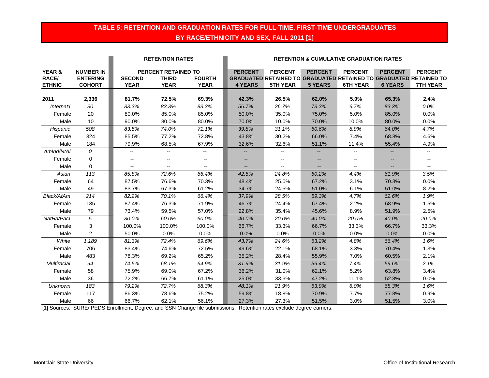## **TABLE 5: RETENTION AND GRADUATION RATES FOR FULL-TIME, FIRST-TIME UNDERGRADUATES BY RACE/ETHNICITY AND SEX, FALL 2011 [1]**

|                                                    |                                                      |                              | <b>RETENTION RATES</b>                                    |                              | <b>RETENTION &amp; CUMULATIVE GRADUATION RATES</b> |                                   |                                  |                                   |                                  |                                                                                                               |
|----------------------------------------------------|------------------------------------------------------|------------------------------|-----------------------------------------------------------|------------------------------|----------------------------------------------------|-----------------------------------|----------------------------------|-----------------------------------|----------------------------------|---------------------------------------------------------------------------------------------------------------|
| <b>YEAR &amp;</b><br><b>RACE/</b><br><b>ETHNIC</b> | <b>NUMBER IN</b><br><b>ENTERING</b><br><b>COHORT</b> | <b>SECOND</b><br><b>YEAR</b> | <b>PERCENT RETAINED TO</b><br><b>THIRD</b><br><b>YEAR</b> | <b>FOURTH</b><br><b>YEAR</b> | <b>PERCENT</b><br><b>4 YEARS</b>                   | <b>PERCENT</b><br><b>5TH YEAR</b> | <b>PERCENT</b><br><b>5 YEARS</b> | <b>PERCENT</b><br><b>6TH YEAR</b> | <b>PERCENT</b><br><b>6 YEARS</b> | <b>PERCENT</b><br><b>GRADUATED RETAINED TO GRADUATED RETAINED TO GRADUATED RETAINED TO</b><br><b>7TH YEAR</b> |
| 2011                                               | 2,336                                                | 81.7%                        | 72.5%                                                     | 69.3%                        | 42.3%                                              | 26.5%                             | 62.0%                            | 5.9%                              | 65.3%                            | 2.4%                                                                                                          |
| Internat'l                                         | 30                                                   | 83.3%                        | 83.3%                                                     | 83.3%                        | 56.7%                                              | 26.7%                             | 73.3%                            | 6.7%                              | 83.3%                            | 0.0%                                                                                                          |
| Female                                             | 20                                                   | 80.0%                        | 85.0%                                                     | 85.0%                        | 50.0%                                              | 35.0%                             | 75.0%                            | 5.0%                              | 85.0%                            | 0.0%                                                                                                          |
| Male                                               | 10                                                   | 90.0%                        | 80.0%                                                     | 80.0%                        | 70.0%                                              | 10.0%                             | 70.0%                            | 10.0%                             | 80.0%                            | 0.0%                                                                                                          |
| Hispanic                                           | 508                                                  | 83.5%                        | 74.0%                                                     | 71.1%                        | 39.8%                                              | 31.1%                             | 60.6%                            | 8.9%                              | 64.0%                            | 4.7%                                                                                                          |
| Female                                             | 324                                                  | 85.5%                        | 77.2%                                                     | 72.8%                        | 43.8%                                              | 30.2%                             | 66.0%                            | 7.4%                              | 68.8%                            | 4.6%                                                                                                          |
| Male                                               | 184                                                  | 79.9%                        | 68.5%                                                     | 67.9%                        | 32.6%                                              | 32.6%                             | 51.1%                            | 11.4%                             | 55.4%                            | 4.9%                                                                                                          |
| AmInd/NtAI                                         | $\mathcal{O}$                                        | $-$                          | --                                                        | $\overline{\phantom{a}}$     |                                                    | --                                |                                  |                                   |                                  | $\overline{\phantom{a}}$                                                                                      |
| Female                                             | $\Omega$                                             | $- -$                        |                                                           | $\overline{\phantom{a}}$     |                                                    | --                                | --                               |                                   |                                  | --                                                                                                            |
| Male                                               | $\mathbf 0$                                          | $- -$                        | $\overline{\phantom{a}}$                                  | $\overline{\phantom{a}}$     |                                                    | $\overline{\phantom{a}}$          | $\overline{a}$                   | --                                |                                  | $\overline{\phantom{a}}$                                                                                      |
| Asian                                              | 113                                                  | 85.8%                        | 72.6%                                                     | 66.4%                        | 42.5%                                              | 24.8%                             | 60.2%                            | 4.4%                              | 61.9%                            | 3.5%                                                                                                          |
| Female                                             | 64                                                   | 87.5%                        | 76.6%                                                     | 70.3%                        | 48.4%                                              | 25.0%                             | 67.2%                            | 3.1%                              | 70.3%                            | 0.0%                                                                                                          |
| Male                                               | 49                                                   | 83.7%                        | 67.3%                                                     | 61.2%                        | 34.7%                                              | 24.5%                             | 51.0%                            | 6.1%                              | 51.0%                            | 8.2%                                                                                                          |
| Black/AfAm                                         | 214                                                  | 82.2%                        | 70.1%                                                     | 66.4%                        | 37.9%                                              | 28.5%                             | 59.3%                            | 4.7%                              | 62.6%                            | 1.9%                                                                                                          |
| Female                                             | 135                                                  | 87.4%                        | 76.3%                                                     | 71.9%                        | 46.7%                                              | 24.4%                             | 67.4%                            | 2.2%                              | 68.9%                            | 1.5%                                                                                                          |
| Male                                               | 79                                                   | 73.4%                        | 59.5%                                                     | 57.0%                        | 22.8%                                              | 35.4%                             | 45.6%                            | 8.9%                              | 51.9%                            | 2.5%                                                                                                          |
| NatHa/Pacl                                         | 5                                                    | 80.0%                        | 60.0%                                                     | 60.0%                        | 40.0%                                              | 20.0%                             | 40.0%                            | 20.0%                             | 40.0%                            | 20.0%                                                                                                         |
| Female                                             | 3                                                    | 100.0%                       | 100.0%                                                    | 100.0%                       | 66.7%                                              | 33.3%                             | 66.7%                            | 33.3%                             | 66.7%                            | 33.3%                                                                                                         |
| Male                                               | 2                                                    | 50.0%                        | 0.0%                                                      | 0.0%                         | 0.0%                                               | 0.0%                              | 0.0%                             | 0.0%                              | 0.0%                             | 0.0%                                                                                                          |
| White                                              | 1,189                                                | 81.3%                        | 72.4%                                                     | 69.6%                        | 43.7%                                              | 24.6%                             | 63.2%                            | 4.8%                              | 66.4%                            | 1.6%                                                                                                          |
| Female                                             | 706                                                  | 83.4%                        | 74.6%                                                     | 72.5%                        | 49.6%                                              | 22.1%                             | 68.1%                            | 3.3%                              | 70.4%                            | 1.3%                                                                                                          |
| Male                                               | 483                                                  | 78.3%                        | 69.2%                                                     | 65.2%                        | 35.2%                                              | 28.4%                             | 55.9%                            | 7.0%                              | 60.5%                            | 2.1%                                                                                                          |
| Multiracial                                        | 94                                                   | 74.5%                        | 68.1%                                                     | 64.9%                        | 31.9%                                              | 31.9%                             | 56.4%                            | 7.4%                              | 59.6%                            | 2.1%                                                                                                          |
| Female                                             | 58                                                   | 75.9%                        | 69.0%                                                     | 67.2%                        | 36.2%                                              | 31.0%                             | 62.1%                            | 5.2%                              | 63.8%                            | 3.4%                                                                                                          |
| Male                                               | 36                                                   | 72.2%                        | 66.7%                                                     | 61.1%                        | 25.0%                                              | 33.3%                             | 47.2%                            | 11.1%                             | 52.8%                            | 0.0%                                                                                                          |
| <b>Unknown</b>                                     | 183                                                  | 79.2%                        | 72.7%                                                     | 68.3%                        | 48.1%                                              | 21.9%                             | 63.9%                            | 6.0%                              | 68.3%                            | 1.6%                                                                                                          |
| Female                                             | 117                                                  | 86.3%                        | 78.6%                                                     | 75.2%                        | 59.8%                                              | 18.8%                             | 70.9%                            | 7.7%                              | 77.8%                            | 0.9%                                                                                                          |
| Male                                               | 66                                                   | 66.7%                        | 62.1%                                                     | 56.1%                        | 27.3%                                              | 27.3%                             | 51.5%                            | 3.0%                              | 51.5%                            | 3.0%                                                                                                          |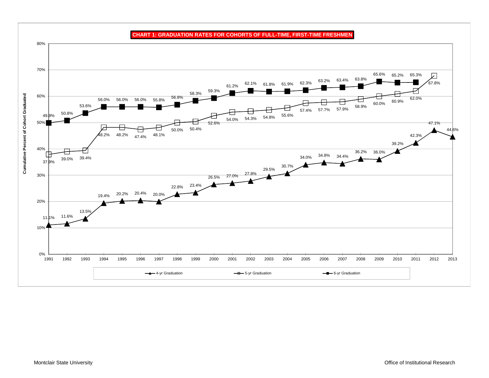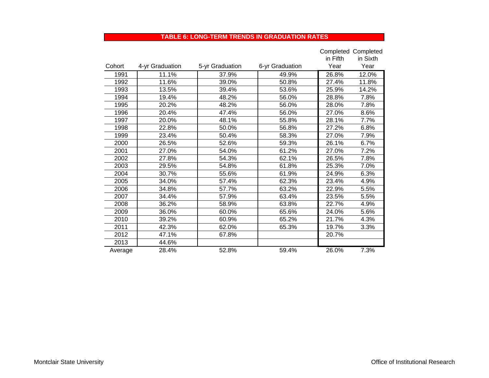#### **TABLE 6: LONG-TERM TRENDS IN GRADUATION RATES**

|         |                 |                 |                 |          | <b>Completed Completed</b> |
|---------|-----------------|-----------------|-----------------|----------|----------------------------|
|         |                 |                 |                 | in Fifth | in Sixth                   |
| Cohort  | 4-yr Graduation | 5-yr Graduation | 6-yr Graduation | Year     | Year                       |
| 1991    | 11.1%           | 37.9%           | 49.9%           | 26.8%    | 12.0%                      |
| 1992    | 11.6%           | 39.0%           | 50.8%           | 27.4%    | 11.8%                      |
| 1993    | 13.5%           | 39.4%           | 53.6%           | 25.9%    | 14.2%                      |
| 1994    | 19.4%           | 48.2%           | 56.0%           | 28.8%    | 7.8%                       |
| 1995    | 20.2%           | 48.2%           | 56.0%           | 28.0%    | 7.8%                       |
| 1996    | 20.4%           | 47.4%           | 56.0%           | 27.0%    | 8.6%                       |
| 1997    | 20.0%           | 48.1%           | 55.8%           | 28.1%    | 7.7%                       |
| 1998    | 22.8%           | 50.0%           | 56.8%           | 27.2%    | 6.8%                       |
| 1999    | 23.4%           | 50.4%           | 58.3%           | 27.0%    | 7.9%                       |
| 2000    | 26.5%           | 52.6%           | 59.3%           | 26.1%    | 6.7%                       |
| 2001    | 27.0%           | 54.0%           | 61.2%           | 27.0%    | 7.2%                       |
| 2002    | 27.8%           | 54.3%           | 62.1%           | 26.5%    | 7.8%                       |
| 2003    | 29.5%           | 54.8%           | 61.8%           | 25.3%    | 7.0%                       |
| 2004    | 30.7%           | 55.6%           | 61.9%           | 24.9%    | 6.3%                       |
| 2005    | 34.0%           | 57.4%           | 62.3%           | 23.4%    | 4.9%                       |
| 2006    | 34.8%           | 57.7%           | 63.2%           | 22.9%    | 5.5%                       |
| 2007    | 34.4%           | 57.9%           | 63.4%           | 23.5%    | 5.5%                       |
| 2008    | 36.2%           | 58.9%           | 63.8%           | 22.7%    | 4.9%                       |
| 2009    | 36.0%           | 60.0%           | 65.6%           | 24.0%    | 5.6%                       |
| 2010    | 39.2%           | 60.9%           | 65.2%           | 21.7%    | 4.3%                       |
| 2011    | 42.3%           | 62.0%           | 65.3%           | 19.7%    | 3.3%                       |
| 2012    | 47.1%           | 67.8%           |                 | 20.7%    |                            |
| 2013    | 44.6%           |                 |                 |          |                            |
| Average | 28.4%           | 52.8%           | 59.4%           | 26.0%    | 7.3%                       |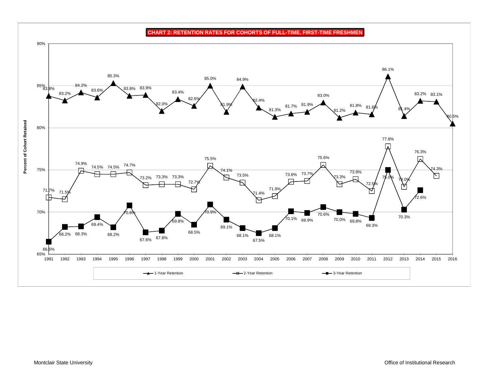90%86.1%85.3%85.0%84.9% $85\%_{3.8\%}$ 84.2% 83.9% 83.8%83.6%83.4%83.2%83.0%83.2% 83.1% 82.6%2.4% 82.0% 81.9% 81.8%81.9%81.7% 81.6%81.3%81.4%81.2%80.5%**Percent of Cohort Retained Percent of Cohort Retained** 80%77.8%  $\overline{\mathbf{r}}$ 76.3%75.6%75.5%74.9% 闪 74.5% 74.5% 74.7% 75%74.1%74.3% 73.9%73.6% 73.7% 73.5%N 73.3%73.2% 73.3% 73.3% 75.0%73.0%72. 72.5%71.7%71.9% $\frac{71.5\%}{ }$  $1.4%$ 2.6% 70% $70.8$ 70.9%70.6% 70.3% $70.1\%$  69.9%70.0% 69.8%69.8%69.4%69.3%69.1%68.5%68.2%68.2% 68.3% 68.1%68.1%67.6% <sup>67.8%</sup> 67.5%66.5%65% 2015 2016 1991 1992 1993 1994 1995 1996 1997 1998 1999 2000 2001 2002 2003 2004 2005 2006 2007 2008 2009 2010 2011 2012 2013 2014 2015 2016**1-Year Retention** - <del>B</del> 2-Year Retention 3-Year Retention

**CHART 2: RETENTION RATES FOR COHORTS OF FULL-TIME, FIRST-TIME FRESHMEN**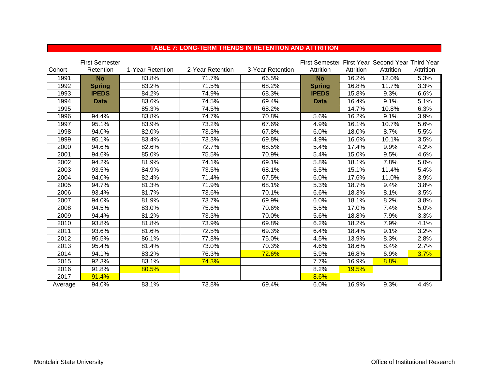|         | <b>First Semester</b> |                  |                  |                  | First Semester First Year Second Year Third Year |              |           |           |
|---------|-----------------------|------------------|------------------|------------------|--------------------------------------------------|--------------|-----------|-----------|
| Cohort  | Retention             | 1-Year Retention | 2-Year Retention | 3-Year Retention | Attrition                                        | Attrition    | Attrition | Attrition |
| 1991    | <b>No</b>             | 83.8%            | 71.7%            | 66.5%            | <b>No</b>                                        | 16.2%        | 12.0%     | 5.3%      |
| 1992    | <b>Spring</b>         | 83.2%            | 71.5%            | 68.2%            | <b>Spring</b>                                    | 16.8%        | 11.7%     | 3.3%      |
| 1993    | <b>IPEDS</b>          | 84.2%            | 74.9%            | 68.3%            | <b>IPEDS</b>                                     | 15.8%        | 9.3%      | 6.6%      |
| 1994    | <b>Data</b>           | 83.6%            | 74.5%            | 69.4%            | <b>Data</b>                                      | 16.4%        | 9.1%      | 5.1%      |
| 1995    |                       | 85.3%            | 74.5%            | 68.2%            |                                                  | 14.7%        | 10.8%     | 6.3%      |
| 1996    | 94.4%                 | 83.8%            | 74.7%            | 70.8%            | 5.6%                                             | 16.2%        | 9.1%      | 3.9%      |
| 1997    | 95.1%                 | 83.9%            | 73.2%            | 67.6%            | 4.9%                                             | 16.1%        | 10.7%     | 5.6%      |
| 1998    | 94.0%                 | 82.0%            | 73.3%            | 67.8%            | 6.0%                                             | 18.0%        | 8.7%      | 5.5%      |
| 1999    | 95.1%                 | 83.4%            | 73.3%            | 69.8%            | 4.9%                                             | 16.6%        | 10.1%     | 3.5%      |
| 2000    | 94.6%                 | 82.6%            | 72.7%            | 68.5%            | 5.4%                                             | 17.4%        | 9.9%      | 4.2%      |
| 2001    | 94.6%                 | 85.0%            | 75.5%            | 70.9%            | 5.4%                                             | 15.0%        | 9.5%      | 4.6%      |
| 2002    | 94.2%                 | 81.9%            | 74.1%            | 69.1%            | 5.8%                                             | 18.1%        | 7.8%      | 5.0%      |
| 2003    | 93.5%                 | 84.9%            | 73.5%            | 68.1%            | 6.5%                                             | 15.1%        | 11.4%     | 5.4%      |
| 2004    | 94.0%                 | 82.4%            | 71.4%            | 67.5%            | 6.0%                                             | 17.6%        | 11.0%     | 3.9%      |
| 2005    | 94.7%                 | 81.3%            | 71.9%            | 68.1%            | 5.3%                                             | 18.7%        | 9.4%      | 3.8%      |
| 2006    | 93.4%                 | 81.7%            | 73.6%            | 70.1%            | 6.6%                                             | 18.3%        | 8.1%      | 3.5%      |
| 2007    | 94.0%                 | 81.9%            | 73.7%            | 69.9%            | 6.0%                                             | 18.1%        | 8.2%      | 3.8%      |
| 2008    | 94.5%                 | 83.0%            | 75.6%            | 70.6%            | 5.5%                                             | 17.0%        | 7.4%      | 5.0%      |
| 2009    | 94.4%                 | 81.2%            | 73.3%            | 70.0%            | 5.6%                                             | 18.8%        | 7.9%      | 3.3%      |
| 2010    | 93.8%                 | 81.8%            | 73.9%            | 69.8%            | 6.2%                                             | 18.2%        | 7.9%      | 4.1%      |
| 2011    | 93.6%                 | 81.6%            | 72.5%            | 69.3%            | 6.4%                                             | 18.4%        | 9.1%      | 3.2%      |
| 2012    | 95.5%                 | 86.1%            | 77.8%            | 75.0%            | 4.5%                                             | 13.9%        | 8.3%      | 2.8%      |
| 2013    | 95.4%                 | 81.4%            | 73.0%            | 70.3%            | 4.6%                                             | 18.6%        | 8.4%      | 2.7%      |
| 2014    | 94.1%                 | 83.2%            | 76.3%            | 72.6%            | 5.9%                                             | 16.8%        | 6.9%      | 3.7%      |
| 2015    | 92.3%                 | 83.1%            | 74.3%            |                  | 7.7%                                             | 16.9%        | 8.8%      |           |
| 2016    | 91.8%                 | 80.5%            |                  |                  | 8.2%                                             | <b>19.5%</b> |           |           |
| 2017    | 91.4%                 |                  |                  |                  | 8.6%                                             |              |           |           |
| Average | 94.0%                 | 83.1%            | 73.8%            | 69.4%            | 6.0%                                             | 16.9%        | 9.3%      | 4.4%      |

#### **TABLE 7: LONG-TERM TRENDS IN RETENTION AND ATTRITION**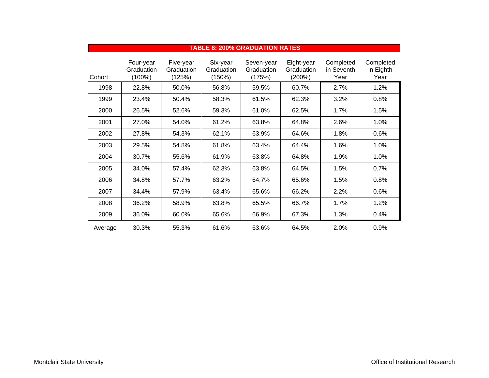|         |                                      |                                   |                                  | TABLE 0. 20070 GRADOATION RATES    |                                    |                                 |                                |
|---------|--------------------------------------|-----------------------------------|----------------------------------|------------------------------------|------------------------------------|---------------------------------|--------------------------------|
| Cohort  | Four-year<br>Graduation<br>$(100\%)$ | Five-year<br>Graduation<br>(125%) | Six-year<br>Graduation<br>(150%) | Seven-year<br>Graduation<br>(175%) | Eight-year<br>Graduation<br>(200%) | Completed<br>in Seventh<br>Year | Completed<br>in Eighth<br>Year |
| 1998    | 22.8%                                | 50.0%                             | 56.8%                            | 59.5%                              | 60.7%                              | 2.7%                            | 1.2%                           |
| 1999    | 23.4%                                | 50.4%                             | 58.3%                            | 61.5%                              | 62.3%                              | 3.2%                            | 0.8%                           |
| 2000    | 26.5%                                | 52.6%                             | 59.3%                            | 61.0%                              | 62.5%                              | 1.7%                            | 1.5%                           |
| 2001    | 27.0%                                | 54.0%                             | 61.2%                            | 63.8%                              | 64.8%                              | 2.6%                            | 1.0%                           |
| 2002    | 27.8%                                | 54.3%                             | 62.1%                            | 63.9%                              | 64.6%                              | 1.8%                            | 0.6%                           |
| 2003    | 29.5%                                | 54.8%                             | 61.8%                            | 63.4%                              | 64.4%                              | 1.6%                            | 1.0%                           |
| 2004    | 30.7%                                | 55.6%                             | 61.9%                            | 63.8%                              | 64.8%                              | 1.9%                            | 1.0%                           |
| 2005    | 34.0%                                | 57.4%                             | 62.3%                            | 63.8%                              | 64.5%                              | 1.5%                            | 0.7%                           |
| 2006    | 34.8%                                | 57.7%                             | 63.2%                            | 64.7%                              | 65.6%                              | 1.5%                            | 0.8%                           |
| 2007    | 34.4%                                | 57.9%                             | 63.4%                            | 65.6%                              | 66.2%                              | 2.2%                            | 0.6%                           |
| 2008    | 36.2%                                | 58.9%                             | 63.8%                            | 65.5%                              | 66.7%                              | 1.7%                            | 1.2%                           |
| 2009    | 36.0%                                | 60.0%                             | 65.6%                            | 66.9%                              | 67.3%                              | 1.3%                            | 0.4%                           |
| Average | 30.3%                                | 55.3%                             | 61.6%                            | 63.6%                              | 64.5%                              | 2.0%                            | 0.9%                           |

#### **TABLE 8: 200% GRADUATION RATES**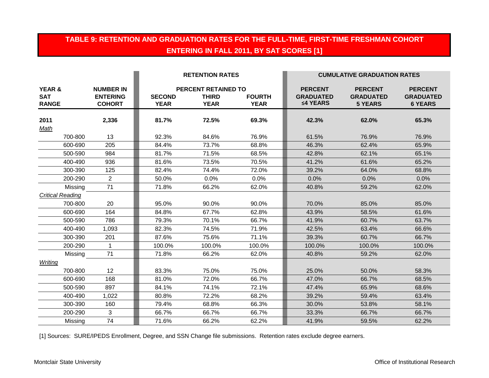# **TABLE 9: RETENTION AND GRADUATION RATES FOR THE FULL-TIME, FIRST-TIME FRESHMAN COHORT ENTERING IN FALL 2011, BY SAT SCORES [1]**

|                                                 |                                                      |                              | <b>RETENTION RATES</b>                             |                              | <b>CUMULATIVE GRADUATION RATES</b>             |                                                      |                                                      |
|-------------------------------------------------|------------------------------------------------------|------------------------------|----------------------------------------------------|------------------------------|------------------------------------------------|------------------------------------------------------|------------------------------------------------------|
| <b>YEAR &amp;</b><br><b>SAT</b><br><b>RANGE</b> | <b>NUMBER IN</b><br><b>ENTERING</b><br><b>COHORT</b> | <b>SECOND</b><br><b>YEAR</b> | PERCENT RETAINED TO<br><b>THIRD</b><br><b>YEAR</b> | <b>FOURTH</b><br><b>YEAR</b> | <b>PERCENT</b><br><b>GRADUATED</b><br>≤4 YEARS | <b>PERCENT</b><br><b>GRADUATED</b><br><b>5 YEARS</b> | <b>PERCENT</b><br><b>GRADUATED</b><br><b>6 YEARS</b> |
| 2011                                            | 2,336                                                | 81.7%                        | 72.5%                                              | 69.3%                        | 42.3%                                          | 62.0%                                                | 65.3%                                                |
| Math                                            |                                                      |                              |                                                    |                              |                                                |                                                      |                                                      |
| 700-800                                         | 13                                                   | 92.3%                        | 84.6%                                              | 76.9%                        | 61.5%                                          | 76.9%                                                | 76.9%                                                |
| 600-690                                         | 205                                                  | 84.4%                        | 73.7%                                              | 68.8%                        | 46.3%                                          | 62.4%                                                | 65.9%                                                |
| 500-590                                         | 984                                                  | 81.7%                        | 71.5%                                              | 68.5%                        | 42.8%                                          | 62.1%                                                | 65.1%                                                |
| 400-490                                         | 936                                                  | 81.6%                        | 73.5%                                              | 70.5%                        | 41.2%                                          | 61.6%                                                | 65.2%                                                |
| 300-390                                         | 125                                                  | 82.4%                        | 74.4%                                              | 72.0%                        | 39.2%                                          | 64.0%                                                | 68.8%                                                |
| 200-290                                         | $\overline{2}$                                       | 50.0%                        | 0.0%                                               | 0.0%                         | 0.0%                                           | 0.0%                                                 | 0.0%                                                 |
| Missing                                         | 71                                                   | 71.8%                        | 66.2%                                              | 62.0%                        | 40.8%                                          | 59.2%                                                | 62.0%                                                |
| <b>Critical Reading</b>                         |                                                      |                              |                                                    |                              |                                                |                                                      |                                                      |
| 700-800                                         | 20                                                   | 95.0%                        | 90.0%                                              | 90.0%                        | 70.0%                                          | 85.0%                                                | 85.0%                                                |
| 600-690                                         | 164                                                  | 84.8%                        | 67.7%                                              | 62.8%                        | 43.9%                                          | 58.5%                                                | 61.6%                                                |
| 500-590                                         | 786                                                  | 79.3%                        | 70.1%                                              | 66.7%                        | 41.9%                                          | 60.7%                                                | 63.7%                                                |
| 400-490                                         | 1,093                                                | 82.3%                        | 74.5%                                              | 71.9%                        | 42.5%                                          | 63.4%                                                | 66.6%                                                |
| 300-390                                         | 201                                                  | 87.6%                        | 75.6%                                              | 71.1%                        | 39.3%                                          | 60.7%                                                | 66.7%                                                |
| 200-290                                         | 1                                                    | 100.0%                       | 100.0%                                             | 100.0%                       | 100.0%                                         | 100.0%                                               | 100.0%                                               |
| Missing                                         | 71                                                   | 71.8%                        | 66.2%                                              | 62.0%                        | 40.8%                                          | 59.2%                                                | 62.0%                                                |
| Writing                                         |                                                      |                              |                                                    |                              |                                                |                                                      |                                                      |
| 700-800                                         | 12                                                   | 83.3%                        | 75.0%                                              | 75.0%                        | 25.0%                                          | 50.0%                                                | 58.3%                                                |
| 600-690                                         | 168                                                  | 81.0%                        | 72.0%                                              | 66.7%                        | 47.0%                                          | 66.7%                                                | 68.5%                                                |
| 500-590                                         | 897                                                  | 84.1%                        | 74.1%                                              | 72.1%                        | 47.4%                                          | 65.9%                                                | 68.6%                                                |
| 400-490                                         | 1,022                                                | 80.8%                        | 72.2%                                              | 68.2%                        | 39.2%                                          | 59.4%                                                | 63.4%                                                |
| 300-390                                         | 160                                                  | 79.4%                        | 68.8%                                              | 66.3%                        | 30.0%                                          | 53.8%                                                | 58.1%                                                |
| 200-290                                         | 3                                                    | 66.7%                        | 66.7%                                              | 66.7%                        | 33.3%                                          | 66.7%                                                | 66.7%                                                |
| Missing                                         | 74                                                   | 71.6%                        | 66.2%                                              | 62.2%                        | 41.9%                                          | 59.5%                                                | 62.2%                                                |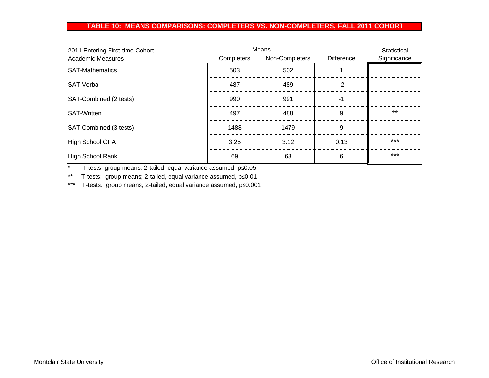#### **TABLE 10: MEANS COMPARISONS: COMPLETERS VS. NON-COMPLETERS, FALL 2011 COHOR T**

| 2011 Entering First-time Cohort | Means      |                |                   | Statistical  |
|---------------------------------|------------|----------------|-------------------|--------------|
| <b>Academic Measures</b>        | Completers | Non-Completers | <b>Difference</b> | Significance |
| <b>SAT-Mathematics</b>          | 503        | 502            |                   |              |
| SAT-Verbal                      | 487        | 489            | -2                |              |
| SAT-Combined (2 tests)          | 990        | 991            |                   |              |
| <b>SAT-Written</b>              | 497        | 488            | 9                 | $***$        |
| SAT-Combined (3 tests)          | 1488       | 1479           | 9                 |              |
| High School GPA                 | 3.25       | 3.12           | 0.13              | ***          |
| <b>High School Rank</b>         | 69         | 63             | 6                 | $***$        |

\* T-tests: group means; 2-tailed, equal variance assumed, p≤0.05

\*\* T-tests: group means; 2-tailed, equal variance assumed, p≤0.01

\*\*\* T-tests: group means; 2-tailed, equal variance assumed, p≤0.001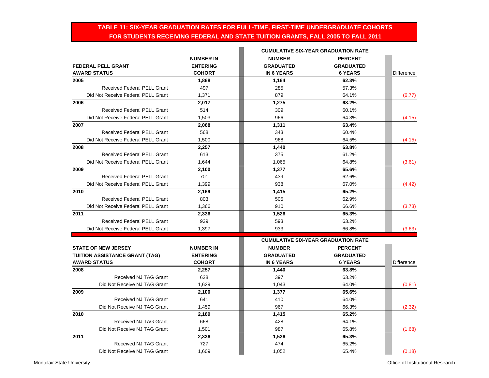## **TABLE 11: SIX-YEAR GRADUATION RATES FOR FULL-TIME, FIRST-TIME UNDERGRADUATE COHORTS FOR STUDENTS RECEIVING FEDERAL AND STATE TUITION GRANTS, FALL 2005 TO FALL 2011**

|                                                              |                                  |                                       | <b>CUMULATIVE SIX-YEAR GRADUATION RATE</b> |                   |
|--------------------------------------------------------------|----------------------------------|---------------------------------------|--------------------------------------------|-------------------|
|                                                              | <b>NUMBER IN</b>                 | <b>NUMBER</b>                         | <b>PERCENT</b>                             |                   |
| <b>FEDERAL PELL GRANT</b>                                    | <b>ENTERING</b>                  | <b>GRADUATED</b>                      | <b>GRADUATED</b>                           |                   |
| <b>AWARD STATUS</b>                                          | <b>COHORT</b>                    | <b>IN 6 YEARS</b>                     | <b>6 YEARS</b>                             | <b>Difference</b> |
| 2005                                                         | 1,868                            | 1,164                                 | 62.3%                                      |                   |
| <b>Received Federal PELL Grant</b>                           | 497                              | 285                                   | 57.3%                                      |                   |
| Did Not Receive Federal PELL Grant                           | 1,371                            | 879                                   | 64.1%                                      | (6.77)            |
| 2006                                                         | 2,017                            | 1,275                                 | 63.2%                                      |                   |
| <b>Received Federal PELL Grant</b>                           | 514                              | 309                                   | 60.1%                                      |                   |
| Did Not Receive Federal PELL Grant                           | 1,503                            | 966                                   | 64.3%                                      | (4.15)            |
| 2007                                                         | 2,068                            | 1,311                                 | 63.4%                                      |                   |
| <b>Received Federal PELL Grant</b>                           | 568                              | 343                                   | 60.4%                                      |                   |
| Did Not Receive Federal PELL Grant                           | 1,500                            | 968                                   | 64.5%                                      | (4.15)            |
| 2008                                                         | 2,257                            | 1,440                                 | 63.8%                                      |                   |
| <b>Received Federal PELL Grant</b>                           | 613                              | 375                                   | 61.2%                                      |                   |
| Did Not Receive Federal PELL Grant                           | 1,644                            | 1,065                                 | 64.8%                                      | (3.61)            |
| 2009                                                         | 2,100                            | 1,377                                 | 65.6%                                      |                   |
| <b>Received Federal PELL Grant</b>                           | 701                              | 439                                   | 62.6%                                      |                   |
| Did Not Receive Federal PELL Grant                           | 1,399                            | 938                                   | 67.0%                                      | (4.42)            |
| 2010                                                         | 2,169                            | 1,415                                 | 65.2%                                      |                   |
| <b>Received Federal PELL Grant</b>                           | 803                              | 505                                   | 62.9%                                      |                   |
| Did Not Receive Federal PELL Grant                           | 1,366                            | 910                                   | 66.6%                                      | (3.73)            |
| 2011                                                         | 2,336                            | 1,526                                 | 65.3%                                      |                   |
| <b>Received Federal PELL Grant</b>                           | 939                              | 593                                   | 63.2%                                      |                   |
| Did Not Receive Federal PELL Grant                           | 1,397                            | 933                                   | 66.8%                                      | (3.63)            |
|                                                              |                                  |                                       | <b>CUMULATIVE SIX-YEAR GRADUATION RATE</b> |                   |
|                                                              |                                  |                                       |                                            |                   |
| <b>STATE OF NEW JERSEY</b>                                   | <b>NUMBER IN</b>                 | <b>NUMBER</b>                         | <b>PERCENT</b>                             |                   |
| <b>TUITION ASSISTANCE GRANT (TAG)</b><br><b>AWARD STATUS</b> | <b>ENTERING</b><br><b>COHORT</b> | <b>GRADUATED</b><br><b>IN 6 YEARS</b> | <b>GRADUATED</b><br><b>6 YEARS</b>         | <b>Difference</b> |
| 2008                                                         | 2,257                            | 1,440                                 | 63.8%                                      |                   |
| <b>Received NJ TAG Grant</b>                                 | 628                              | 397                                   | 63.2%                                      |                   |
| Did Not Receive NJ TAG Grant                                 | 1,629                            | 1,043                                 | 64.0%                                      | (0.81)            |
| 2009                                                         |                                  |                                       | 65.6%                                      |                   |
| <b>Received NJ TAG Grant</b>                                 | 2,100<br>641                     | 1,377<br>410                          | 64.0%                                      |                   |
| Did Not Receive NJ TAG Grant                                 | 1,459                            | 967                                   | 66.3%                                      |                   |
|                                                              |                                  |                                       |                                            | (2.32)            |
| 2010                                                         | 2,169                            | 1,415                                 | 65.2%                                      |                   |
| Received NJ TAG Grant                                        | 668                              | 428                                   | 64.1%                                      |                   |
| Did Not Receive NJ TAG Grant                                 | 1,501                            | 987                                   | 65.8%                                      | (1.68)            |
| 2011                                                         | 2,336                            | 1,526                                 | 65.3%                                      |                   |
| Received NJ TAG Grant                                        | 727                              | 474                                   | 65.2%                                      |                   |
| Did Not Receive NJ TAG Grant                                 | 1.609                            | 1,052                                 | 65.4%                                      | (0.18)            |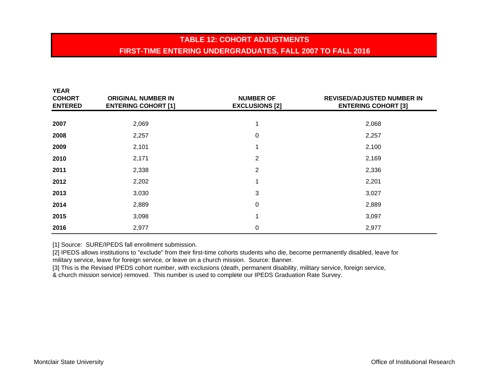# **TABLE 12: COHORT ADJUSTMENTSFIRST-TIME ENTERING UNDERGRADUATES, FALL 2007 TO FALL 2016**

| YEAR<br><b>COHORT</b><br><b>ENTERED</b> | <b>ORIGINAL NUMBER IN</b><br><b>ENTERING COHORT [1]</b> | <b>NUMBER OF</b><br><b>EXCLUSIONS [2]</b> | <b>REVISED/ADJUSTED NUMBER IN</b><br><b>ENTERING COHORT [3]</b> |
|-----------------------------------------|---------------------------------------------------------|-------------------------------------------|-----------------------------------------------------------------|
|                                         |                                                         |                                           |                                                                 |
| 2007                                    | 2,069                                                   | 1                                         | 2,068                                                           |
| 2008                                    | 2,257                                                   | 0                                         | 2,257                                                           |
| 2009                                    | 2,101                                                   |                                           | 2,100                                                           |
| 2010                                    | 2,171                                                   | $\overline{2}$                            | 2,169                                                           |
| 2011                                    | 2,338                                                   | 2                                         | 2,336                                                           |
| 2012                                    | 2,202                                                   | 4                                         | 2,201                                                           |
| 2013                                    | 3,030                                                   | 3                                         | 3,027                                                           |
| 2014                                    | 2,889                                                   | 0                                         | 2,889                                                           |
| 2015                                    | 3,098                                                   | 4                                         | 3,097                                                           |
| 2016                                    | 2,977                                                   | 0                                         | 2,977                                                           |

[1] Source: SURE/IPEDS fall enrollment submission.

[2] IPEDS allows institutions to "exclude" from their first-time cohorts students who die, become permanently disabled, leave for military service, leave for foreign service, or leave on a church mission. Source: Banner.

[3] This is the Revised IPEDS cohort number, with exclusions (death, permanent disability, military service, foreign service, & church mission service) removed. This number is used to complete our IPEDS Graduation Rate Survey.

**YEAR**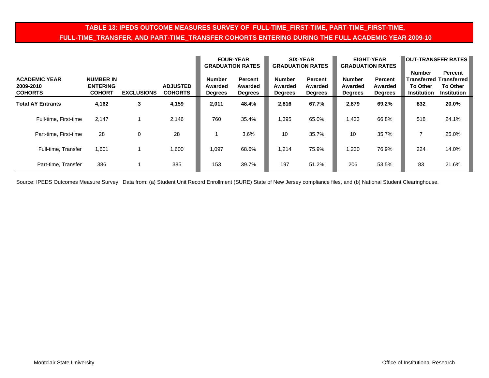## **TABLE 13: IPEDS OUTCOME MEASURES SURVEY OF FULL-TIME\_FIRST-TIME, PART-TIME\_FIRST-TIME, FULL-TIME\_TRANSFER, AND PART-TIME\_TRANSFER COHORTS ENTERING DURING THE FULL ACADEMIC YEAR 2009-10**

|                                                     |                                                      |                   |                                   | <b>GRADUATION RATES</b>                    | <b>FOUR-YEAR</b>                            | <b>GRADUATION RATES</b>                    | <b>SIX-YEAR</b>                      | <b>GRADUATION RATES</b>                    | <b>EIGHT-YEAR</b>                           | <b>OUT-TRANSFER RATES</b>                              |                                                                                    |  |  |
|-----------------------------------------------------|------------------------------------------------------|-------------------|-----------------------------------|--------------------------------------------|---------------------------------------------|--------------------------------------------|--------------------------------------|--------------------------------------------|---------------------------------------------|--------------------------------------------------------|------------------------------------------------------------------------------------|--|--|
| <b>ACADEMIC YEAR</b><br>2009-2010<br><b>COHORTS</b> | <b>NUMBER IN</b><br><b>ENTERING</b><br><b>COHORT</b> | <b>EXCLUSIONS</b> | <b>ADJUSTED</b><br><b>COHORTS</b> | <b>Number</b><br>Awarded<br><b>Degrees</b> | <b>Percent</b><br>Awarded<br><b>Degrees</b> | <b>Number</b><br>Awarded<br><b>Degrees</b> | Percent<br>Awarded<br><b>Degrees</b> | <b>Number</b><br>Awarded<br><b>Degrees</b> | <b>Percent</b><br>Awarded<br><b>Degrees</b> | <b>Number</b><br><b>To Other</b><br><b>Institution</b> | <b>Percent</b><br><b>Transferred Transferred</b><br>To Other<br><b>Institution</b> |  |  |
| <b>Total AY Entrants</b>                            | 4,162                                                | 3                 | 4,159                             | 2,011                                      | 48.4%                                       | 2.816                                      | 67.7%                                | 2,879                                      | 69.2%                                       | 832                                                    | 20.0%                                                                              |  |  |
| Full-time, First-time                               | 2.147                                                |                   | 2,146                             | 760                                        | 35.4%                                       | 1,395                                      | 65.0%                                | 1,433                                      | 66.8%                                       | 518                                                    | 24.1%                                                                              |  |  |
| Part-time, First-time                               | 28                                                   | 0                 | 28                                |                                            | 3.6%                                        | 10                                         | 35.7%                                | 10                                         | 35.7%                                       |                                                        | 25.0%                                                                              |  |  |
| Full-time, Transfer                                 | 1,601                                                |                   | 1,600                             | 1,097                                      | 68.6%                                       | 1,214                                      | 75.9%                                | 1,230                                      | 76.9%                                       | 224                                                    | 14.0%                                                                              |  |  |
| Part-time, Transfer                                 | 386                                                  |                   | 385                               | 153                                        | 39.7%                                       | 197                                        | 51.2%                                | 206                                        | 53.5%                                       | 83                                                     | 21.6%                                                                              |  |  |

Source: IPEDS Outcomes Measure Survey. Data from: (a) Student Unit Record Enrollment (SURE) State of New Jersey compliance files, and (b) National Student Clearinghouse.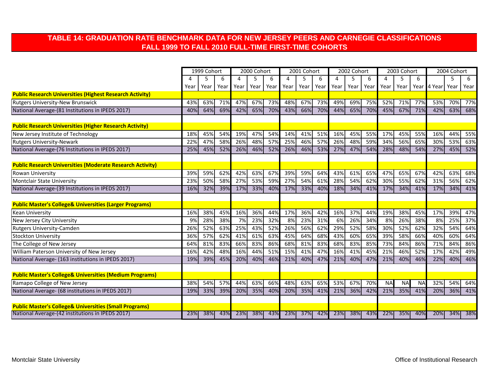## **TABLE 14: GRADUATION RATE BENCHMARK DATA FOR NEW JERSEY PEERS AND CARNEGIE CLASSIFICATIONS FALL 1999 TO FALL 2010 FULL-TIME FIRST-TIME COHORTS**

|                                                                    | 1999 Cohort |      |      | 2000 Cohort |      |      |      | 2001 Cohort |      | 2002 Cohort |      |      | 2003 Cohort |           |                | 2004 Cohort |      |      |
|--------------------------------------------------------------------|-------------|------|------|-------------|------|------|------|-------------|------|-------------|------|------|-------------|-----------|----------------|-------------|------|------|
|                                                                    |             | 5    | 6    | 4           | 5    | 6    | 4    |             | 6    | 4           | 5    | 6    | 4           | 5         | 6              |             | 5    | 6    |
|                                                                    | Year        | Year | Year | Year        | Year | Year | Year | Year        | Year | Year        | Year | Year | Year        | Year      |                | Year 4 Year | Year | Year |
| <b>Public Research Universities (Highest Research Activity)</b>    |             |      |      |             |      |      |      |             |      |             |      |      |             |           |                |             |      |      |
| <b>Rutgers University-New Brunswick</b>                            | 43%         | 63%  | 71%  | 47%         | 67%  | 73%  | 48%  | 67%         | 73%  | 49%         | 69%  | 75%  | 52%         | 71%       | 77%            | 53%         | 70%  | 77%  |
| National Average-(81 Institutions in IPEDS 2017)                   | 40%         | 64%  | 69%  | 42%         | 65%  | 70%  | 43%  | 66%         | 70%  | 44%         | 65%  | 70%  | 45%         | 67%       | 71%            | 42%         | 63%  | 68%  |
|                                                                    |             |      |      |             |      |      |      |             |      |             |      |      |             |           |                |             |      |      |
| <b>Public Research Universities (Higher Research Activity)</b>     |             |      |      |             |      |      |      |             |      |             |      |      |             |           |                |             |      |      |
| New Jersey Institute of Technology                                 | 18%         | 45%  | 54%  | 19%         | 47%  | 54%  | 14%  | 41%         | 51%  | 16%         | 45%  | 55%  | 17%         | 45%       | 55%            | 16%         | 44%  | 55%  |
| <b>Rutgers University-Newark</b>                                   | 22%         | 47%  | 58%  | 26%         | 48%  | 57%  | 25%  | 46%         | 57%  | 26%         | 48%  | 59%  | 34%         | 56%       | 65%            | 30%         | 53%  | 63%  |
| National Average-(76 Institutions in IPEDS 2017)                   | 25%         | 45%  | 52%  | 26%         | 46%  | 52%  | 26%  | 46%         | 53%  | 27%         | 47%  | 54%  | 28%         | 48%       | 54%            | 27%         | 45%  | 52%  |
|                                                                    |             |      |      |             |      |      |      |             |      |             |      |      |             |           |                |             |      |      |
| <b>Public Research Universities (Moderate Research Activity)</b>   |             |      |      |             |      |      |      |             |      |             |      |      |             |           |                |             |      |      |
| Rowan University                                                   | 39%         | 59%  | 62%  | 42%         | 63%  | 67%  | 39%  | 59%         | 64%  | 43%         | 61%  | 65%  | 47%         | 65%       | 67%            | 42%         | 63%  | 68%  |
| Montclair State University                                         | 23%         | 50%  | 58%  | 27%         | 53%  | 59%  | 27%  | 54%         | 61%  | 28%         | 54%  | 62%  | 30%         | 55%       | 62%            | 31%         | 56%  | 62%  |
| National Average-(39 Institutions in IPEDS 2017)                   | 16%         | 32%  | 39%  | 17%         | 33%  | 40%  | 17%  | 33%         | 40%  | 18%         | 34%  | 41%  | 17%         | 34%       | 41%            | 17%         | 34%  | 41%  |
|                                                                    |             |      |      |             |      |      |      |             |      |             |      |      |             |           |                |             |      |      |
| <b>Public Master's College&amp; Universities (Larger Programs)</b> |             |      |      |             |      |      |      |             |      |             |      |      |             |           |                |             |      |      |
| <b>Kean University</b>                                             | 16%         | 38%  | 45%  | 16%         | 36%  | 44%  | 17%  | 36%         | 42%  | 16%         | 37%  | 44%  | 19%         | 38%       | 45%            | 17%         | 39%  | 47%  |
| New Jersey City University                                         | 9%          | 28%  | 38%  | 7%          | 23%  | 32%  | 8%   | 23%         | 31%  | 6%          | 26%  | 34%  | 8%          | 26%       | 38%            | 8%          | 25%  | 37%  |
| Rutgers University-Camden                                          | 26%         | 52%  | 63%  | 25%         | 43%  | 52%  | 26%  | 56%         | 62%  | 29%         | 52%  | 58%  | 30%         | 52%       | 62%            | 32%         | 54%  | 64%  |
| <b>Stockton University</b>                                         | 36%         | 57%  | 62%  | 41%         | 61%  | 63%  | 45%  | 64%         | 68%  | 43%         | 60%  | 65%  | 39%         | 58%       | 66%            | 40%         | 60%  | 64%  |
| The College of New Jersey                                          | 64%         | 81%  | 83%  | 66%         | 83%  | 86%  | 68%  | 81%         | 83%  | 68%         | 83%  | 85%  | 73%         | 84%       | 86%            | 71%         | 84%  | 86%  |
| William Paterson University of New Jersey                          | 16%         | 42%  | 48%  | 16%         | 44%  | 51%  | 15%  | 41%         | 47%  | 16%         | 41%  | 45%  | 21%         | 46%       | 52%            | 17%         | 42%  | 49%  |
| National Average- (163 institutions in IPEDS 2017)                 | 19%         | 39%  | 45%  | 20%         | 40%  | 46%  | 21%  | 40%         | 47%  | 21%         | 40%  | 47%  | 21%         | 40%       | 46%            | 22%         | 40%  | 46%  |
|                                                                    |             |      |      |             |      |      |      |             |      |             |      |      |             |           |                |             |      |      |
| <b>Public Master's College&amp; Universities (Medium Programs)</b> |             |      |      |             |      |      |      |             |      |             |      |      |             |           |                |             |      |      |
| Ramapo College of New Jersey                                       | 38%         | 54%  | 57%  | 44%         | 63%  | 66%  | 48%  | 63%         | 65%  | 53%         | 67%  | 70%  | <b>NA</b>   | <b>NA</b> | N <sub>A</sub> | 32%         | 54%  | 64%  |
| National Average- (68 institutions in IPEDS 2017)                  | 19%         | 33%  | 39%  | 20%         | 35%  | 40%  | 20%  | 35%         | 41%  | 21%         | 36%  | 42%  | 21%         | 35%       | 41%            | 20%         | 36%  | 41%  |
|                                                                    |             |      |      |             |      |      |      |             |      |             |      |      |             |           |                |             |      |      |
| <b>Public Master's College&amp; Universities (Small Programs)</b>  |             |      |      |             |      |      |      |             |      |             |      |      |             |           |                |             |      |      |
| National Average-(42 institutions in IPEDS 2017)                   | 23%         | 38%  | 43%  | 23%         | 38%  | 43%  | 23%  | 37%         | 42%  | 23%         | 38%  | 43%  | 22%         | 35%       | 40%            | 20%         | 34%  | 38%  |